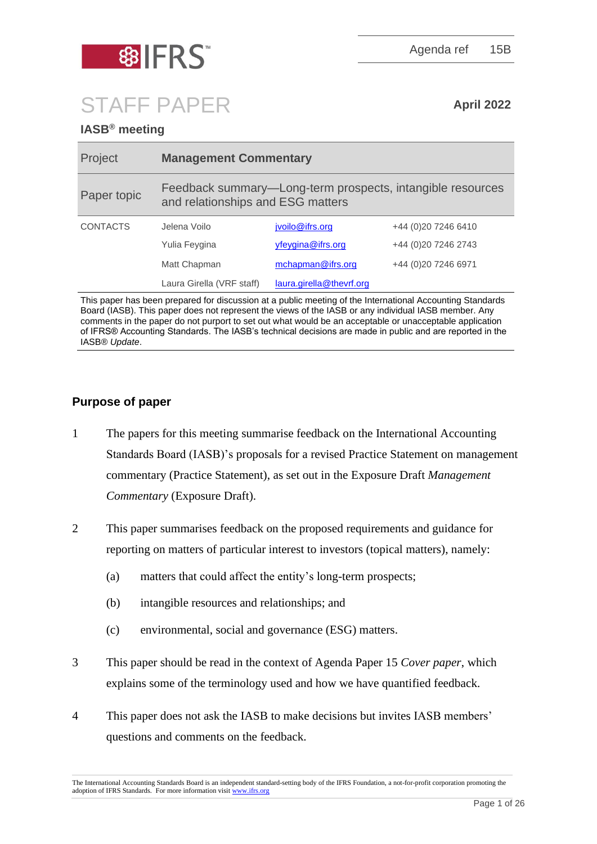

Agenda ref 15B

# STAFF PAPER **April <sup>2022</sup>**

# **IASB® meeting**

| Project                                                                                                   | <b>Management Commentary</b>                                                                    |                          |                      |
|-----------------------------------------------------------------------------------------------------------|-------------------------------------------------------------------------------------------------|--------------------------|----------------------|
| Paper topic                                                                                               | Feedback summary—Long-term prospects, intangible resources<br>and relationships and ESG matters |                          |                      |
| <b>CONTACTS</b>                                                                                           | Jelena Voilo                                                                                    | jvoilo@ifrs.org          | +44 (0) 20 7246 6410 |
|                                                                                                           | Yulia Feygina                                                                                   | yfeygina@ifrs.org        | +44 (0)20 7246 2743  |
|                                                                                                           | Matt Chapman                                                                                    | mchapman@ifrs.org        | +44 (0)20 7246 6971  |
|                                                                                                           | Laura Girella (VRF staff)                                                                       | laura.girella@thevrf.org |                      |
| This naper has been prepared for discussion at a public meeting of the International Accounting Standards |                                                                                                 |                          |                      |

er has been prepared for discussion at a public meeting of the International Accounting Standards Board (IASB). This paper does not represent the views of the IASB or any individual IASB member. Any comments in the paper do not purport to set out what would be an acceptable or unacceptable application of IFRS® Accounting Standards. The IASB's technical decisions are made in public and are reported in the IASB® *Update*.

## **Purpose of paper**

- 1 The papers for this meeting summarise feedback on the International Accounting Standards Board (IASB)'s proposals for a revised Practice Statement on management commentary (Practice Statement), as set out in the Exposure Draft *Management Commentary* (Exposure Draft).
- 2 This paper summarises feedback on the proposed requirements and guidance for reporting on matters of particular interest to investors (topical matters), namely:
	- (a) matters that could affect the entity's long-term prospects;
	- (b) intangible resources and relationships; and
	- (c) environmental, social and governance (ESG) matters.
- 3 This paper should be read in the context of Agenda Paper 15 *Cover paper*, which explains some of the terminology used and how we have quantified feedback.
- 4 This paper does not ask the IASB to make decisions but invites IASB members' questions and comments on the feedback.

The International Accounting Standards Board is an independent standard-setting body of the IFRS Foundation, a not-for-profit corporation promoting the adoption of IFRS Standards. For more information visi[t www.ifrs.org](http://www.ifrs.org/)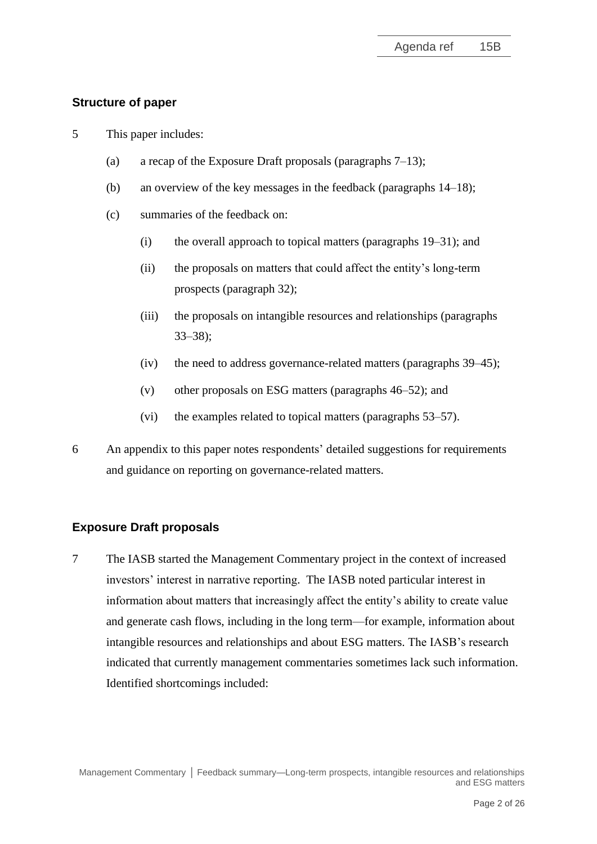## **Structure of paper**

- 5 This paper includes:
	- (a) a recap of the Exposure Draft proposals (paragraphs  $7-13$ );
	- (b) an overview of the key messages in the feedback (paragraphs [14](#page-3-1)[–18\)](#page-4-0);
	- (c) summaries of the feedback on:
		- (i) the overall approach to topical matters (paragraphs [19](#page-4-1)[–31\)](#page-11-0); and
		- (ii) the proposals on matters that could affect the entity's long-term prospects (paragraph [32\)](#page-12-0);
		- (iii) the proposals on intangible resources and relationships (paragraphs [33](#page-12-1)[–38\)](#page-15-0);
		- (iv) the need to address governance-related matters (paragraphs [39–](#page-15-1)[45\)](#page-19-0);
		- (v) other proposals on ESG matters (paragraphs [46–](#page-19-1)[52\)](#page-20-0); and
		- (vi) the examples related to topical matters (paragraphs [53](#page-22-0)[–57\)](#page-23-0).
- 6 An appendix to this paper notes respondents' detailed suggestions for requirements and guidance on reporting on governance-related matters.

#### **Exposure Draft proposals**

<span id="page-1-0"></span>7 The IASB started the Management Commentary project in the context of increased investors' interest in narrative reporting. The IASB noted particular interest in information about matters that increasingly affect the entity's ability to create value and generate cash flows, including in the long term—for example, information about intangible resources and relationships and about ESG matters. The IASB's research indicated that currently management commentaries sometimes lack such information. Identified shortcomings included: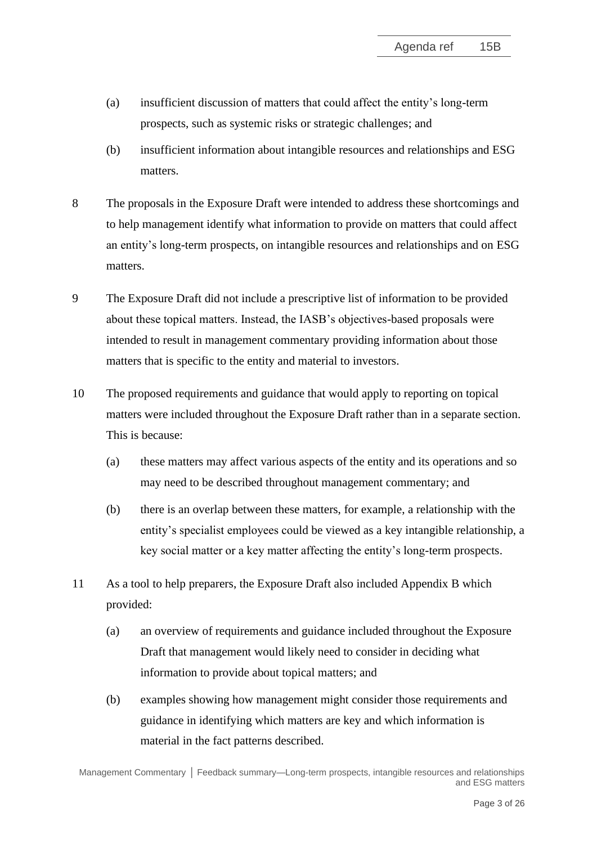- (a) insufficient discussion of matters that could affect the entity's long-term prospects, such as systemic risks or strategic challenges; and
- (b) insufficient information about intangible resources and relationships and ESG matters.
- 8 The proposals in the Exposure Draft were intended to address these shortcomings and to help management identify what information to provide on matters that could affect an entity's long-term prospects, on intangible resources and relationships and on ESG matters.
- 9 The Exposure Draft did not include a prescriptive list of information to be provided about these topical matters. Instead, the IASB's objectives-based proposals were intended to result in management commentary providing information about those matters that is specific to the entity and material to investors.
- 10 The proposed requirements and guidance that would apply to reporting on topical matters were included throughout the Exposure Draft rather than in a separate section. This is because:
	- (a) these matters may affect various aspects of the entity and its operations and so may need to be described throughout management commentary; and
	- (b) there is an overlap between these matters, for example, a relationship with the entity's specialist employees could be viewed as a key intangible relationship, a key social matter or a key matter affecting the entity's long-term prospects.
- 11 As a tool to help preparers, the Exposure Draft also included Appendix B which provided:
	- (a) an overview of requirements and guidance included throughout the Exposure Draft that management would likely need to consider in deciding what information to provide about topical matters; and
	- (b) examples showing how management might consider those requirements and guidance in identifying which matters are key and which information is material in the fact patterns described.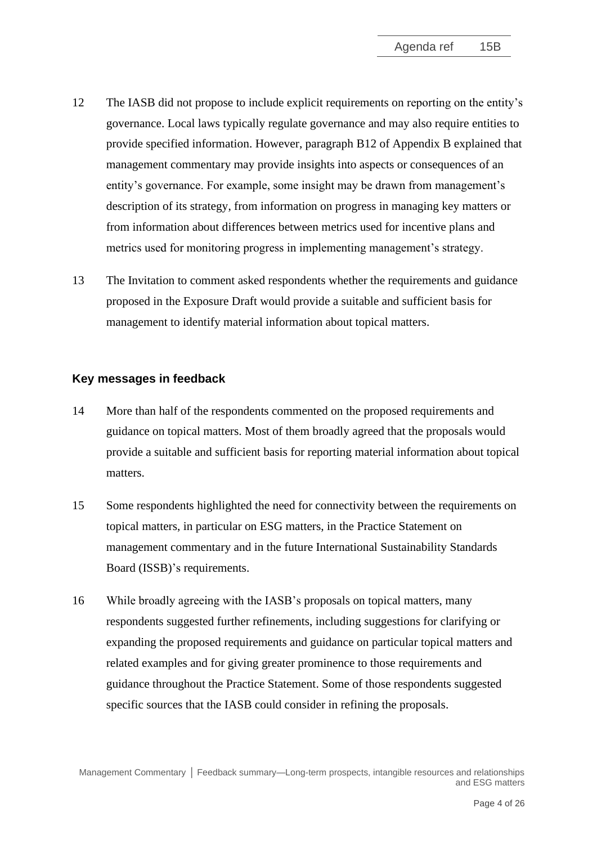- 12 The IASB did not propose to include explicit requirements on reporting on the entity's governance. Local laws typically regulate governance and may also require entities to provide specified information. However, paragraph B12 of Appendix B explained that management commentary may provide insights into aspects or consequences of an entity's governance. For example, some insight may be drawn from management's description of its strategy, from information on progress in managing key matters or from information about differences between metrics used for incentive plans and metrics used for monitoring progress in implementing management's strategy.
- <span id="page-3-0"></span>13 The Invitation to comment asked respondents whether the requirements and guidance proposed in the Exposure Draft would provide a suitable and sufficient basis for management to identify material information about topical matters.

## **Key messages in feedback**

- <span id="page-3-1"></span>14 More than half of the respondents commented on the proposed requirements and guidance on topical matters. Most of them broadly agreed that the proposals would provide a suitable and sufficient basis for reporting material information about topical matters.
- 15 Some respondents highlighted the need for connectivity between the requirements on topical matters, in particular on ESG matters, in the Practice Statement on management commentary and in the future International Sustainability Standards Board (ISSB)'s requirements.
- 16 While broadly agreeing with the IASB's proposals on topical matters, many respondents suggested further refinements, including suggestions for clarifying or expanding the proposed requirements and guidance on particular topical matters and related examples and for giving greater prominence to those requirements and guidance throughout the Practice Statement. Some of those respondents suggested specific sources that the IASB could consider in refining the proposals.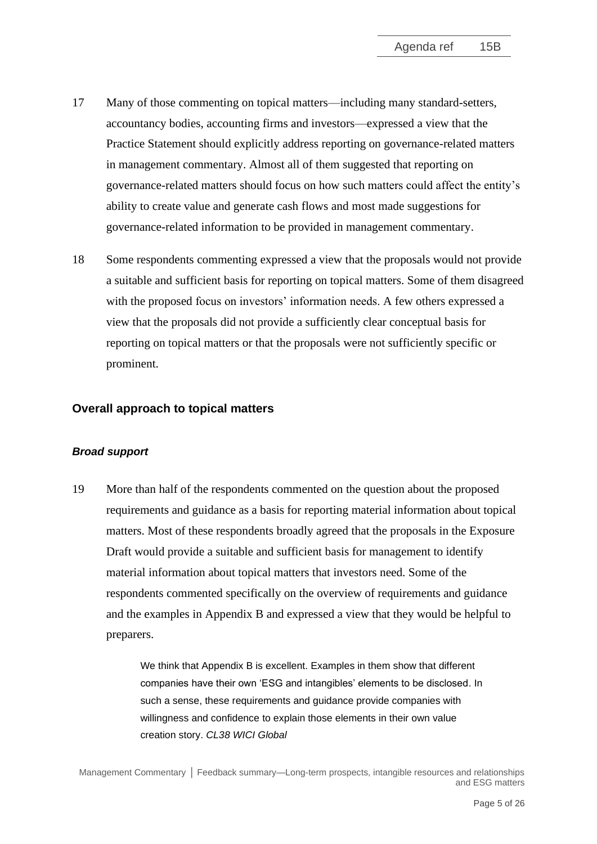- 17 Many of those commenting on topical matters—including many standard-setters, accountancy bodies, accounting firms and investors—expressed a view that the Practice Statement should explicitly address reporting on governance-related matters in management commentary. Almost all of them suggested that reporting on governance-related matters should focus on how such matters could affect the entity's ability to create value and generate cash flows and most made suggestions for governance-related information to be provided in management commentary.
- <span id="page-4-0"></span>18 Some respondents commenting expressed a view that the proposals would not provide a suitable and sufficient basis for reporting on topical matters. Some of them disagreed with the proposed focus on investors' information needs. A few others expressed a view that the proposals did not provide a sufficiently clear conceptual basis for reporting on topical matters or that the proposals were not sufficiently specific or prominent.

#### **Overall approach to topical matters**

#### *Broad support*

<span id="page-4-1"></span>19 More than half of the respondents commented on the question about the proposed requirements and guidance as a basis for reporting material information about topical matters. Most of these respondents broadly agreed that the proposals in the Exposure Draft would provide a suitable and sufficient basis for management to identify material information about topical matters that investors need. Some of the respondents commented specifically on the overview of requirements and guidance and the examples in Appendix B and expressed a view that they would be helpful to preparers.

> We think that Appendix B is excellent. Examples in them show that different companies have their own 'ESG and intangibles' elements to be disclosed. In such a sense, these requirements and guidance provide companies with willingness and confidence to explain those elements in their own value creation story. *CL38 WICI Global*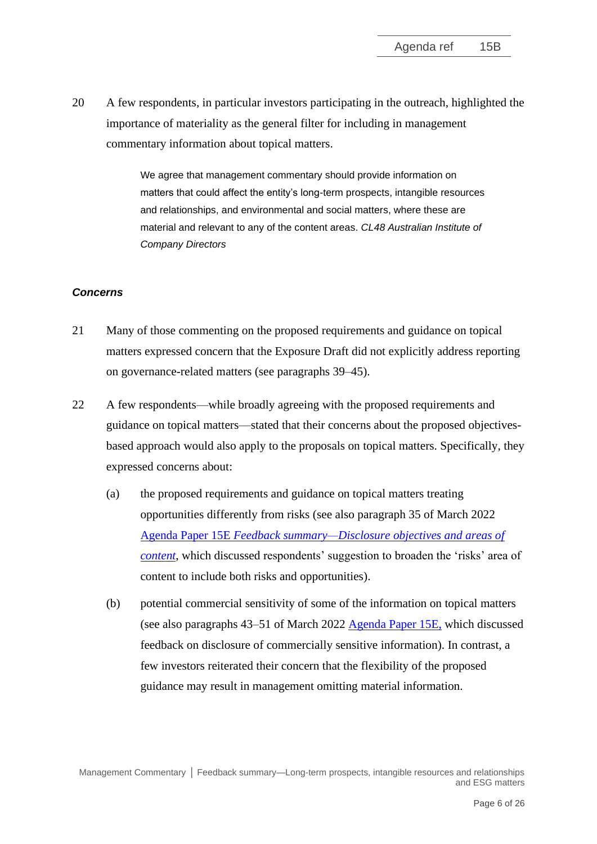20 A few respondents, in particular investors participating in the outreach, highlighted the importance of materiality as the general filter for including in management commentary information about topical matters.

> We agree that management commentary should provide information on matters that could affect the entity's long-term prospects, intangible resources and relationships, and environmental and social matters, where these are material and relevant to any of the content areas. *CL48 Australian Institute of Company Directors*

#### *Concerns*

- 21 Many of those commenting on the proposed requirements and guidance on topical matters expressed concern that the Exposure Draft did not explicitly address reporting on governance-related matters (see paragraphs [39](#page-15-1)[–45\)](#page-19-0).
- 22 A few respondents—while broadly agreeing with the proposed requirements and guidance on topical matters—stated that their concerns about the proposed objectivesbased approach would also apply to the proposals on topical matters. Specifically, they expressed concerns about:
	- (a) the proposed requirements and guidance on topical matters treating opportunities differently from risks (see also paragraph 35 of March 2022 Agenda Paper 15E *[Feedback summary—Disclosure objectives](https://www.ifrs.org/content/dam/ifrs/meetings/2022/march/iasb/ap15e-disclosure-objectives-and-areas-of-content.pdf) and areas of [content](https://www.ifrs.org/content/dam/ifrs/meetings/2022/march/iasb/ap15e-disclosure-objectives-and-areas-of-content.pdf)*, which discussed respondents' suggestion to broaden the 'risks' area of content to include both risks and opportunities).
	- (b) potential commercial sensitivity of some of the information on topical matters (see also paragraphs 43–51 of March 2022 [Agenda Paper 15E,](https://www.ifrs.org/content/dam/ifrs/meetings/2022/march/iasb/ap15e-disclosure-objectives-and-areas-of-content.pdf) which discussed feedback on disclosure of commercially sensitive information). In contrast, a few investors reiterated their concern that the flexibility of the proposed guidance may result in management omitting material information.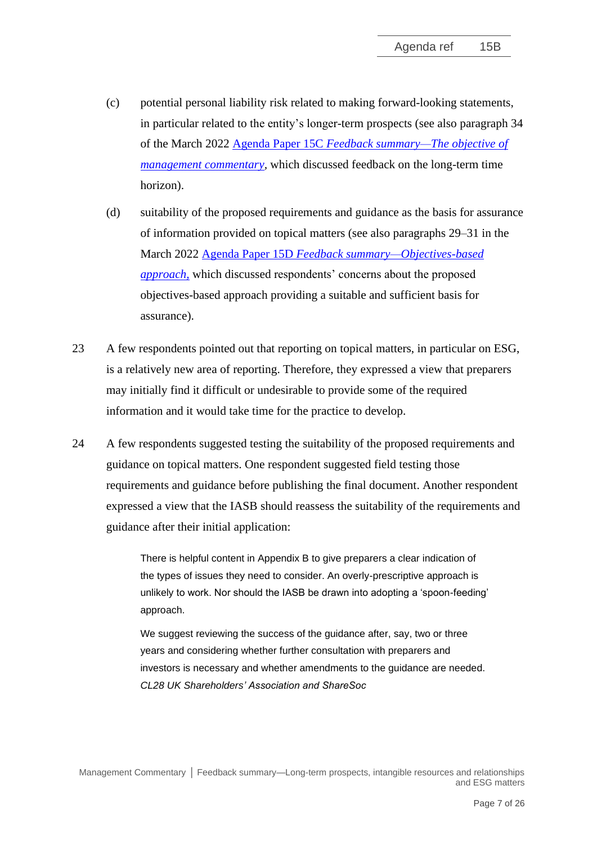- (c) potential personal liability risk related to making forward-looking statements, in particular related to the entity's longer-term prospects (see also paragraph 34 of the March 2022 Agenda Paper 15C *[Feedback summary—The objective of](https://www.ifrs.org/content/dam/ifrs/meetings/2022/march/iasb/ap15c-objective-of-management-commentary.pdf)  management commentary*, which discussed feedback on the long-term time horizon).
- (d) suitability of the proposed requirements and guidance as the basis for assurance of information provided on topical matters (see also paragraphs 29–31 in the March 2022 Agenda Paper 15D *[Feedback summary—Objectives-based](https://www.ifrs.org/content/dam/ifrs/meetings/2022/march/iasb/ap15d-objectives-based-approach.pdf)  [approach,](https://www.ifrs.org/content/dam/ifrs/meetings/2022/march/iasb/ap15d-objectives-based-approach.pdf)* which discussed respondents' concerns about the proposed objectives-based approach providing a suitable and sufficient basis for assurance).
- 23 A few respondents pointed out that reporting on topical matters, in particular on ESG, is a relatively new area of reporting. Therefore, they expressed a view that preparers may initially find it difficult or undesirable to provide some of the required information and it would take time for the practice to develop.
- 24 A few respondents suggested testing the suitability of the proposed requirements and guidance on topical matters. One respondent suggested field testing those requirements and guidance before publishing the final document. Another respondent expressed a view that the IASB should reassess the suitability of the requirements and guidance after their initial application:

There is helpful content in Appendix B to give preparers a clear indication of the types of issues they need to consider. An overly-prescriptive approach is unlikely to work. Nor should the IASB be drawn into adopting a 'spoon-feeding' approach.

We suggest reviewing the success of the guidance after, say, two or three years and considering whether further consultation with preparers and investors is necessary and whether amendments to the guidance are needed. *CL28 UK Shareholders' Association and ShareSoc*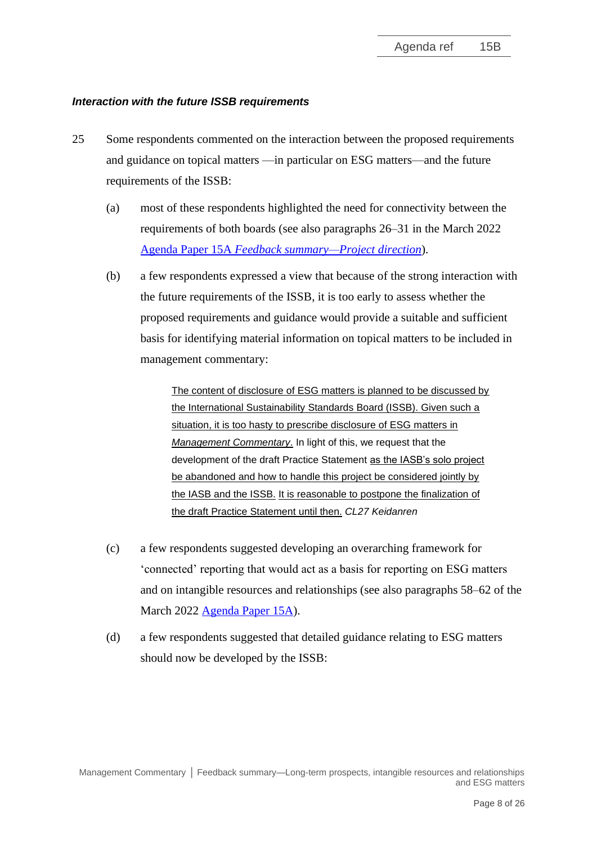#### *Interaction with the future ISSB requirements*

- 25 Some respondents commented on the interaction between the proposed requirements and guidance on topical matters —in particular on ESG matters—and the future requirements of the ISSB:
	- (a) most of these respondents highlighted the need for connectivity between the requirements of both boards (see also paragraphs 26–31 in the March 2022 Agenda Paper 15A *[Feedback summary—Project direction](https://www.ifrs.org/content/dam/ifrs/meetings/2022/march/iasb/ap15a-feedback-summary-project-direction.pdf)*).
	- (b) a few respondents expressed a view that because of the strong interaction with the future requirements of the ISSB, it is too early to assess whether the proposed requirements and guidance would provide a suitable and sufficient basis for identifying material information on topical matters to be included in management commentary:

The content of disclosure of ESG matters is planned to be discussed by the International Sustainability Standards Board (ISSB). Given such a situation, it is too hasty to prescribe disclosure of ESG matters in *Management Commentary*. In light of this, we request that the development of the draft Practice Statement as the IASB's solo project be abandoned and how to handle this project be considered jointly by the IASB and the ISSB. It is reasonable to postpone the finalization of the draft Practice Statement until then. *CL27 Keidanren*

- (c) a few respondents suggested developing an overarching framework for 'connected' reporting that would act as a basis for reporting on ESG matters and on intangible resources and relationships (see also paragraphs 58–62 of the March 2022 [Agenda Paper 15A\)](https://www.ifrs.org/content/dam/ifrs/meetings/2022/march/iasb/ap15a-feedback-summary-project-direction.pdf).
- (d) a few respondents suggested that detailed guidance relating to ESG matters should now be developed by the ISSB: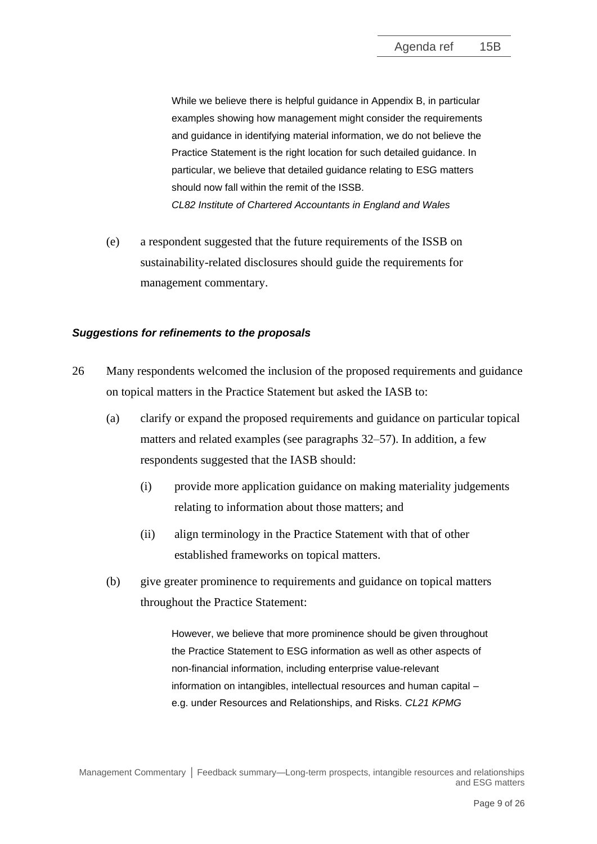While we believe there is helpful guidance in Appendix B, in particular examples showing how management might consider the requirements and guidance in identifying material information, we do not believe the Practice Statement is the right location for such detailed guidance. In particular, we believe that detailed guidance relating to ESG matters should now fall within the remit of the ISSB. *CL82 Institute of Chartered Accountants in England and Wales*

(e) a respondent suggested that the future requirements of the ISSB on sustainability-related disclosures should guide the requirements for management commentary.

#### *Suggestions for refinements to the proposals*

- 26 Many respondents welcomed the inclusion of the proposed requirements and guidance on topical matters in the Practice Statement but asked the IASB to:
	- (a) clarify or expand the proposed requirements and guidance on particular topical matters and related examples (see paragraphs [32](#page-12-0)[–57\)](#page-23-0). In addition, a few respondents suggested that the IASB should:
		- (i) provide more application guidance on making materiality judgements relating to information about those matters; and
		- (ii) align terminology in the Practice Statement with that of other established frameworks on topical matters.
	- (b) give greater prominence to requirements and guidance on topical matters throughout the Practice Statement:

However, we believe that more prominence should be given throughout the Practice Statement to ESG information as well as other aspects of non-financial information, including enterprise value-relevant information on intangibles, intellectual resources and human capital – e.g. under Resources and Relationships, and Risks. *CL21 KPMG*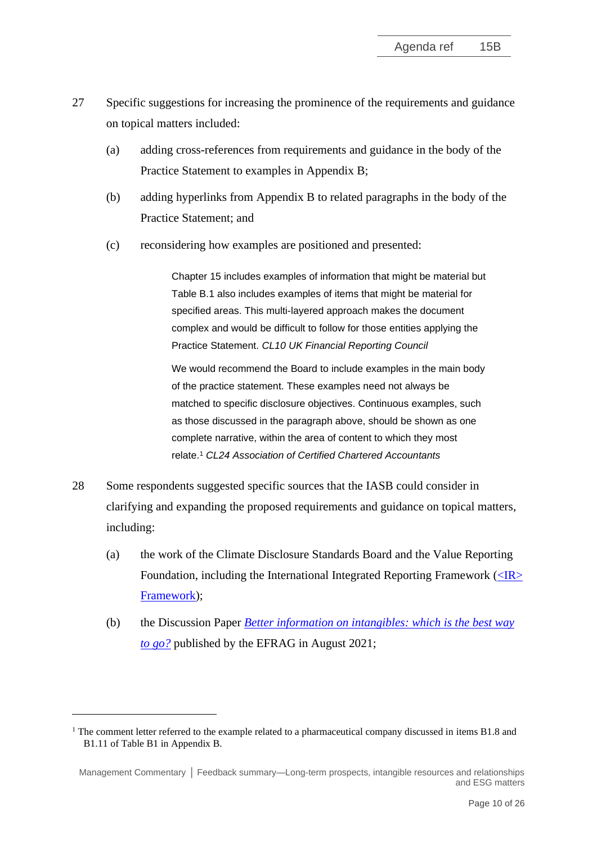- <span id="page-9-0"></span>27 Specific suggestions for increasing the prominence of the requirements and guidance on topical matters included:
	- (a) adding cross-references from requirements and guidance in the body of the Practice Statement to examples in Appendix B;
	- (b) adding hyperlinks from Appendix B to related paragraphs in the body of the Practice Statement; and
	- (c) reconsidering how examples are positioned and presented:

Chapter 15 includes examples of information that might be material but Table B.1 also includes examples of items that might be material for specified areas. This multi-layered approach makes the document complex and would be difficult to follow for those entities applying the Practice Statement. *CL10 UK Financial Reporting Council*

We would recommend the Board to include examples in the main body of the practice statement. These examples need not always be matched to specific disclosure objectives. Continuous examples, such as those discussed in the paragraph above, should be shown as one complete narrative, within the area of content to which they most relate.<sup>1</sup> *CL24 Association of Certified Chartered Accountants*

- 28 Some respondents suggested specific sources that the IASB could consider in clarifying and expanding the proposed requirements and guidance on topical matters, including:
	- (a) the work of the Climate Disclosure Standards Board and the Value Reporting Foundation, including the International Integrated Reporting Framework  $(\angle$ IR $>$ [Framework\)](https://www.integratedreporting.org/wp-content/uploads/2021/01/InternationalIntegratedReportingFramework.pdf);
	- (b) the Discussion Paper *[Better information on intangibles: which is the best way](https://www.efrag.org/Assets/Download?assetUrl=%2fsites%2fwebpublishing%2fSiteAssets%2fBetter%2520information%2520on%2520intangibles%2520-%2520which%2520is%2520the%2520best%2520way%2520to%2520go.pdf)  [to go?](https://www.efrag.org/Assets/Download?assetUrl=%2fsites%2fwebpublishing%2fSiteAssets%2fBetter%2520information%2520on%2520intangibles%2520-%2520which%2520is%2520the%2520best%2520way%2520to%2520go.pdf)* published by the EFRAG in August 2021;

 $1$  The comment letter referred to the example related to a pharmaceutical company discussed in items B1.8 and B1.11 of Table B1 in Appendix B.

Management Commentary **│** Feedback summary—Long-term prospects, intangible resources and relationships and ESG matters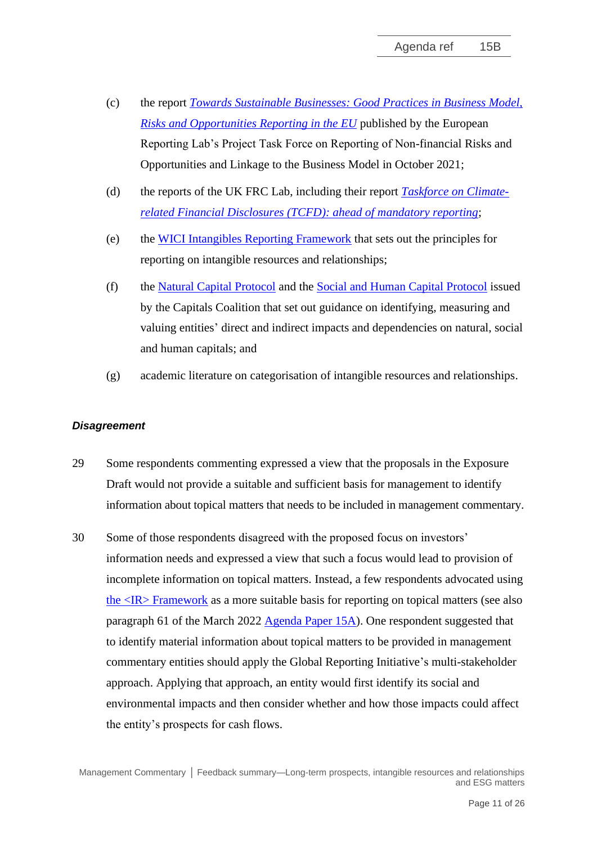- (c) the report *[Towards Sustainable Businesses: Good Practices in Business Model,](https://www.efrag.org/Assets/Download?assetUrl=/sites/webpublishing/SiteAssets/EFRAG%20PTF-RNFRO%20-%20Main%20Report.pdf)  [Risks and Opportunities Reporting in the EU](https://www.efrag.org/Assets/Download?assetUrl=/sites/webpublishing/SiteAssets/EFRAG%20PTF-RNFRO%20-%20Main%20Report.pdf)* published by the European Reporting Lab's Project Task Force on Reporting of Non-financial Risks and Opportunities and Linkage to the Business Model in October 2021;
- (d) the reports of the UK FRC Lab, including their report *[Taskforce on Climate](https://www.frc.org.uk/getattachment/09b5627b-864b-48cb-ab53-8928b9dc72b7/FRCLab-TCFD-Report_October_2021.pdf)[related Financial Disclosures \(TCFD\): ahead of mandatory reporting](https://www.frc.org.uk/getattachment/09b5627b-864b-48cb-ab53-8928b9dc72b7/FRCLab-TCFD-Report_October_2021.pdf)*;
- (e) the [WICI Intangibles Reporting Framework](https://www.wici-global.com/wirf/WICI_Intangibles_Reporting_Framework_v1.0.pdf) that sets out the principles for reporting on intangible resources and relationships;
- (f) the [Natural Capital Protocol](https://capitalscoalition.org/capitals-approach/natural-capital-protocol/?fwp_filter_tabs=training_material) and the [Social and Human Capital Protocol](https://capitalscoalition.org/capitals-approach/social-human-capital-protocol/) issued by the Capitals Coalition that set out guidance on identifying, measuring and valuing entities' direct and indirect impacts and dependencies on natural, social and human capitals; and
- (g) academic literature on categorisation of intangible resources and relationships.

#### *Disagreement*

- 29 Some respondents commenting expressed a view that the proposals in the Exposure Draft would not provide a suitable and sufficient basis for management to identify information about topical matters that needs to be included in management commentary.
- 30 Some of those respondents disagreed with the proposed focus on investors' information needs and expressed a view that such a focus would lead to provision of incomplete information on topical matters. Instead, a few respondents advocated using [the <IR> Framework](https://www.integratedreporting.org/wp-content/uploads/2021/01/InternationalIntegratedReportingFramework.pdf) as a more suitable basis for reporting on topical matters (see also paragraph 61 of the March 2022 [Agenda Paper 15A\)](https://www.ifrs.org/content/dam/ifrs/meetings/2022/march/iasb/ap15a-feedback-summary-project-direction.pdf). One respondent suggested that to identify material information about topical matters to be provided in management commentary entities should apply the Global Reporting Initiative's multi-stakeholder approach. Applying that approach, an entity would first identify its social and environmental impacts and then consider whether and how those impacts could affect the entity's prospects for cash flows.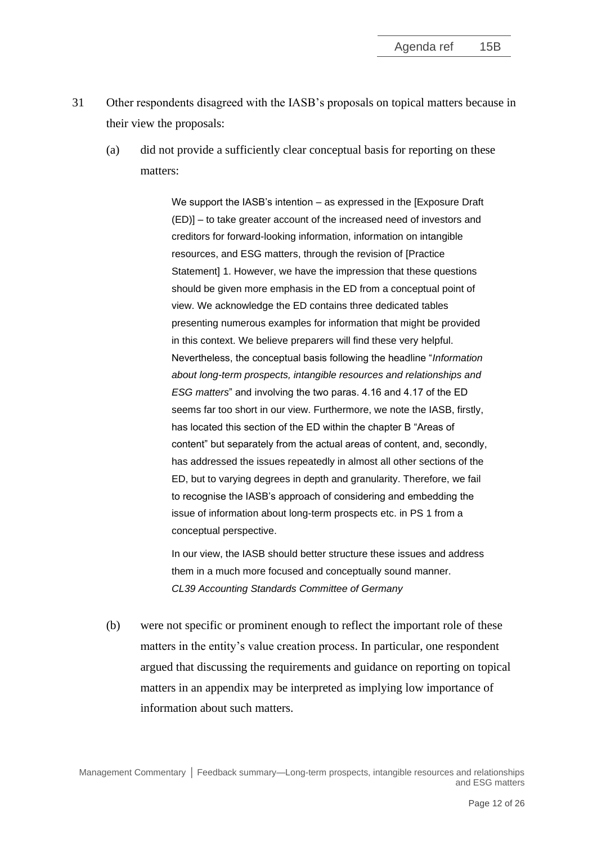- <span id="page-11-0"></span>31 Other respondents disagreed with the IASB's proposals on topical matters because in their view the proposals:
	- (a) did not provide a sufficiently clear conceptual basis for reporting on these matters:

We support the IASB's intention – as expressed in the [Exposure Draft (ED)] – to take greater account of the increased need of investors and creditors for forward-looking information, information on intangible resources, and ESG matters, through the revision of [Practice Statement] 1. However, we have the impression that these questions should be given more emphasis in the ED from a conceptual point of view. We acknowledge the ED contains three dedicated tables presenting numerous examples for information that might be provided in this context. We believe preparers will find these very helpful. Nevertheless, the conceptual basis following the headline "*Information about long-term prospects, intangible resources and relationships and ESG matters*" and involving the two paras. 4.16 and 4.17 of the ED seems far too short in our view. Furthermore, we note the IASB, firstly, has located this section of the ED within the chapter B "Areas of content" but separately from the actual areas of content, and, secondly, has addressed the issues repeatedly in almost all other sections of the ED, but to varying degrees in depth and granularity. Therefore, we fail to recognise the IASB's approach of considering and embedding the issue of information about long-term prospects etc. in PS 1 from a conceptual perspective.

In our view, the IASB should better structure these issues and address them in a much more focused and conceptually sound manner. *CL39 Accounting Standards Committee of Germany* 

(b) were not specific or prominent enough to reflect the important role of these matters in the entity's value creation process. In particular, one respondent argued that discussing the requirements and guidance on reporting on topical matters in an appendix may be interpreted as implying low importance of information about such matters.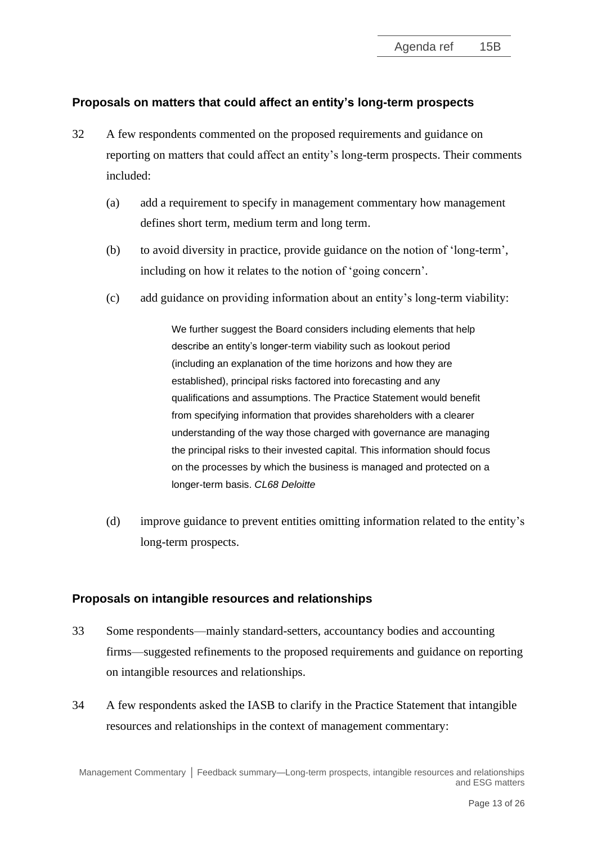## **Proposals on matters that could affect an entity's long-term prospects**

- <span id="page-12-0"></span>32 A few respondents commented on the proposed requirements and guidance on reporting on matters that could affect an entity's long-term prospects. Their comments included:
	- (a) add a requirement to specify in management commentary how management defines short term, medium term and long term.
	- (b) to avoid diversity in practice, provide guidance on the notion of 'long-term', including on how it relates to the notion of 'going concern'.
	- (c) add guidance on providing information about an entity's long-term viability:

We further suggest the Board considers including elements that help describe an entity's longer-term viability such as lookout period (including an explanation of the time horizons and how they are established), principal risks factored into forecasting and any qualifications and assumptions. The Practice Statement would benefit from specifying information that provides shareholders with a clearer understanding of the way those charged with governance are managing the principal risks to their invested capital. This information should focus on the processes by which the business is managed and protected on a longer-term basis. *CL68 Deloitte*

(d) improve guidance to prevent entities omitting information related to the entity's long-term prospects.

#### **Proposals on intangible resources and relationships**

- <span id="page-12-1"></span>33 Some respondents—mainly standard-setters, accountancy bodies and accounting firms—suggested refinements to the proposed requirements and guidance on reporting on intangible resources and relationships.
- 34 A few respondents asked the IASB to clarify in the Practice Statement that intangible resources and relationships in the context of management commentary: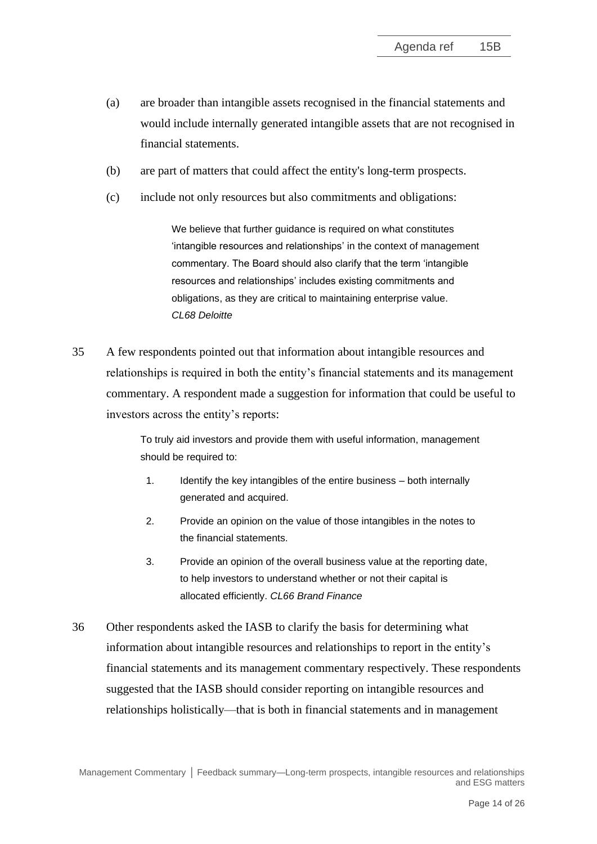- (a) are broader than intangible assets recognised in the financial statements and would include internally generated intangible assets that are not recognised in financial statements.
- (b) are part of matters that could affect the entity's long-term prospects.
- (c) include not only resources but also commitments and obligations:

We believe that further guidance is required on what constitutes 'intangible resources and relationships' in the context of management commentary. The Board should also clarify that the term 'intangible resources and relationships' includes existing commitments and obligations, as they are critical to maintaining enterprise value. *CL68 Deloitte*

35 A few respondents pointed out that information about intangible resources and relationships is required in both the entity's financial statements and its management commentary. A respondent made a suggestion for information that could be useful to investors across the entity's reports:

> To truly aid investors and provide them with useful information, management should be required to:

- 1. Identify the key intangibles of the entire business both internally generated and acquired.
- 2. Provide an opinion on the value of those intangibles in the notes to the financial statements.
- 3. Provide an opinion of the overall business value at the reporting date, to help investors to understand whether or not their capital is allocated efficiently. *CL66 Brand Finance*
- 36 Other respondents asked the IASB to clarify the basis for determining what information about intangible resources and relationships to report in the entity's financial statements and its management commentary respectively. These respondents suggested that the IASB should consider reporting on intangible resources and relationships holistically—that is both in financial statements and in management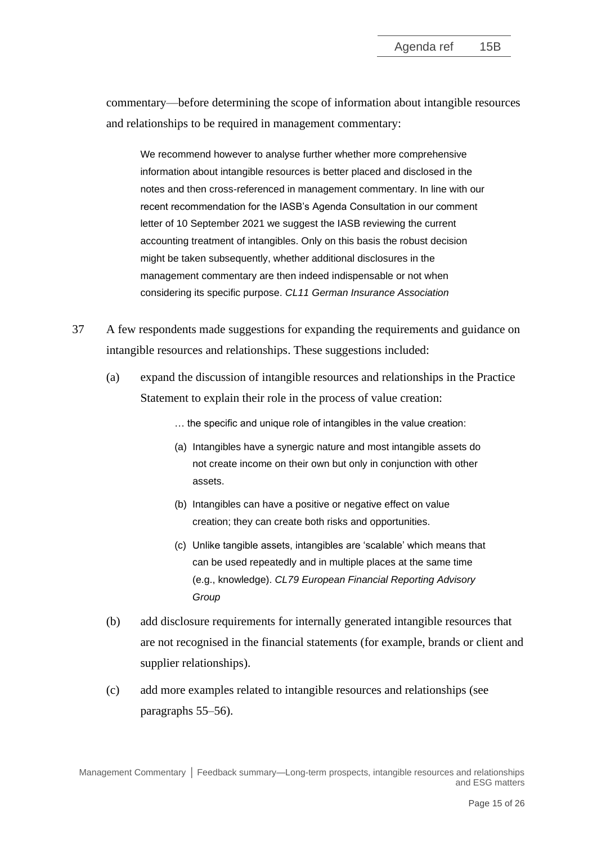commentary—before determining the scope of information about intangible resources and relationships to be required in management commentary:

We recommend however to analyse further whether more comprehensive information about intangible resources is better placed and disclosed in the notes and then cross-referenced in management commentary. In line with our recent recommendation for the IASB's Agenda Consultation in our comment letter of 10 September 2021 we suggest the IASB reviewing the current accounting treatment of intangibles. Only on this basis the robust decision might be taken subsequently, whether additional disclosures in the management commentary are then indeed indispensable or not when considering its specific purpose. *CL11 German Insurance Association*

- 37 A few respondents made suggestions for expanding the requirements and guidance on intangible resources and relationships. These suggestions included:
	- (a) expand the discussion of intangible resources and relationships in the Practice Statement to explain their role in the process of value creation:

… the specific and unique role of intangibles in the value creation:

- (a) Intangibles have a synergic nature and most intangible assets do not create income on their own but only in conjunction with other assets.
- (b) Intangibles can have a positive or negative effect on value creation; they can create both risks and opportunities.
- (c) Unlike tangible assets, intangibles are 'scalable' which means that can be used repeatedly and in multiple places at the same time (e.g., knowledge). *CL79 European Financial Reporting Advisory Group*
- (b) add disclosure requirements for internally generated intangible resources that are not recognised in the financial statements (for example, brands or client and supplier relationships).
- (c) add more examples related to intangible resources and relationships (see paragraphs [55](#page-22-1)[–56\)](#page-23-1).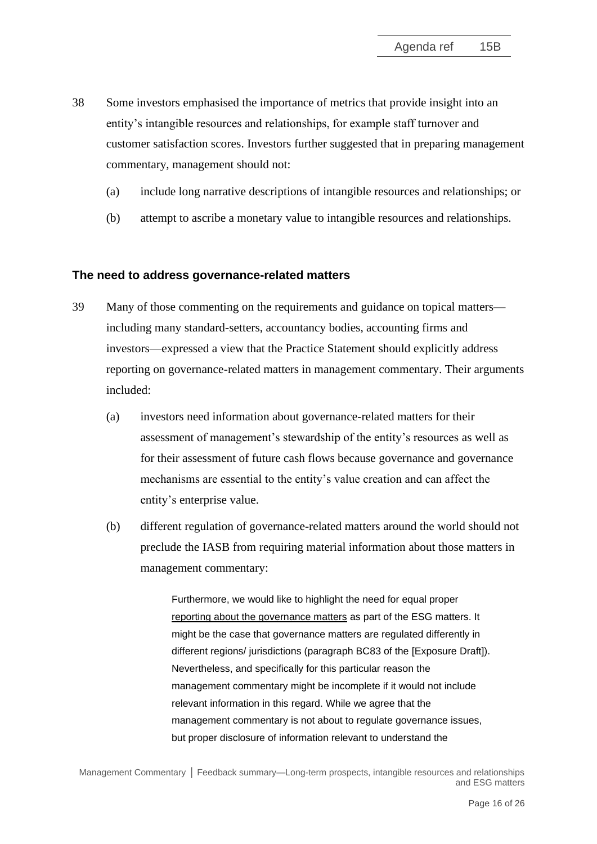- <span id="page-15-0"></span>38 Some investors emphasised the importance of metrics that provide insight into an entity's intangible resources and relationships, for example staff turnover and customer satisfaction scores. Investors further suggested that in preparing management commentary, management should not:
	- (a) include long narrative descriptions of intangible resources and relationships; or
	- (b) attempt to ascribe a monetary value to intangible resources and relationships.

#### **The need to address governance-related matters**

- <span id="page-15-1"></span>39 Many of those commenting on the requirements and guidance on topical matters including many standard-setters, accountancy bodies, accounting firms and investors—expressed a view that the Practice Statement should explicitly address reporting on governance-related matters in management commentary. Their arguments included:
	- (a) investors need information about governance-related matters for their assessment of management's stewardship of the entity's resources as well as for their assessment of future cash flows because governance and governance mechanisms are essential to the entity's value creation and can affect the entity's enterprise value.
	- (b) different regulation of governance-related matters around the world should not preclude the IASB from requiring material information about those matters in management commentary:

Furthermore, we would like to highlight the need for equal proper reporting about the governance matters as part of the ESG matters. It might be the case that governance matters are regulated differently in different regions/ jurisdictions (paragraph BC83 of the [Exposure Draft]). Nevertheless, and specifically for this particular reason the management commentary might be incomplete if it would not include relevant information in this regard. While we agree that the management commentary is not about to regulate governance issues, but proper disclosure of information relevant to understand the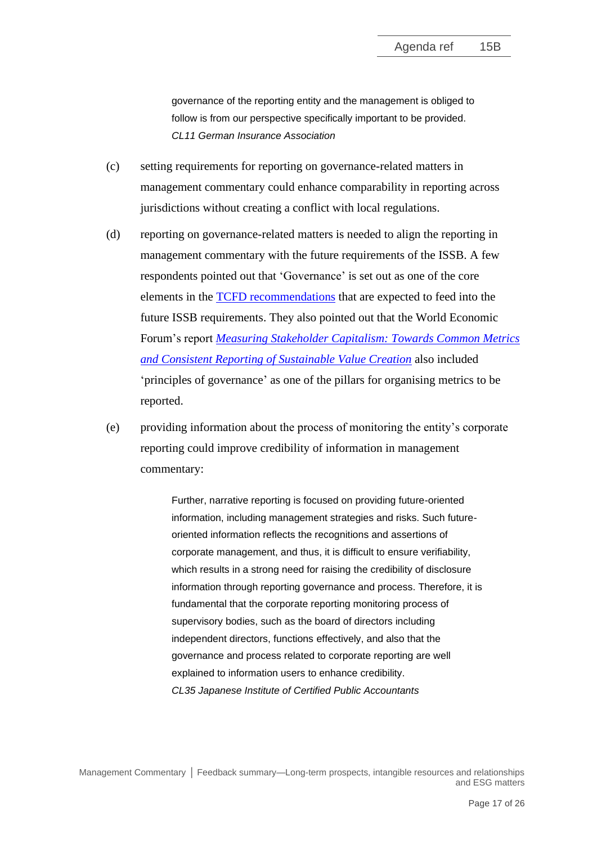governance of the reporting entity and the management is obliged to follow is from our perspective specifically important to be provided. *CL11 German Insurance Association*

- (c) setting requirements for reporting on governance-related matters in management commentary could enhance comparability in reporting across jurisdictions without creating a conflict with local regulations.
- (d) reporting on governance-related matters is needed to align the reporting in management commentary with the future requirements of the ISSB. A few respondents pointed out that 'Governance' is set out as one of the core elements in the [TCFD recommendations](https://assets.bbhub.io/company/sites/60/2021/10/FINAL-2017-TCFD-Report.pdf) that are expected to feed into the future ISSB requirements. They also pointed out that the World Economic Forum's report *[Measuring Stakeholder Capitalism: Towards Common Metrics](https://www3.weforum.org/docs/WEF_IBC_Measuring_Stakeholder_Capitalism_Report_2020.pdf)  [and Consistent Reporting of Sustainable Value Creation](https://www3.weforum.org/docs/WEF_IBC_Measuring_Stakeholder_Capitalism_Report_2020.pdf)* also included 'principles of governance' as one of the pillars for organising metrics to be reported.
- (e) providing information about the process of monitoring the entity's corporate reporting could improve credibility of information in management commentary:

Further, narrative reporting is focused on providing future-oriented information, including management strategies and risks. Such futureoriented information reflects the recognitions and assertions of corporate management, and thus, it is difficult to ensure verifiability, which results in a strong need for raising the credibility of disclosure information through reporting governance and process. Therefore, it is fundamental that the corporate reporting monitoring process of supervisory bodies, such as the board of directors including independent directors, functions effectively, and also that the governance and process related to corporate reporting are well explained to information users to enhance credibility. *CL35 Japanese Institute of Certified Public Accountants*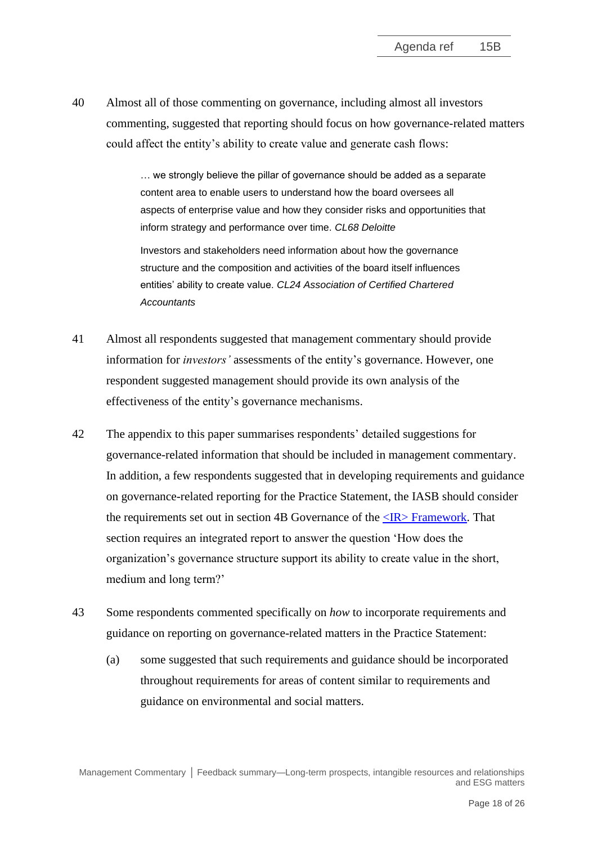40 Almost all of those commenting on governance, including almost all investors commenting, suggested that reporting should focus on how governance-related matters could affect the entity's ability to create value and generate cash flows:

> … we strongly believe the pillar of governance should be added as a separate content area to enable users to understand how the board oversees all aspects of enterprise value and how they consider risks and opportunities that inform strategy and performance over time. *CL68 Deloitte* Investors and stakeholders need information about how the governance

structure and the composition and activities of the board itself influences entities' ability to create value. *CL24 Association of Certified Chartered Accountants*

- 41 Almost all respondents suggested that management commentary should provide information for *investors'* assessments of the entity's governance. However, one respondent suggested management should provide its own analysis of the effectiveness of the entity's governance mechanisms.
- 42 The appendix to this paper summarises respondents' detailed suggestions for governance-related information that should be included in management commentary. In addition, a few respondents suggested that in developing requirements and guidance on governance-related reporting for the Practice Statement, the IASB should consider the requirements set out in section 4B Governance of the  $\langle IR \rangle$  Framework. That section requires an integrated report to answer the question 'How does the organization's governance structure support its ability to create value in the short, medium and long term?'
- 43 Some respondents commented specifically on *how* to incorporate requirements and guidance on reporting on governance-related matters in the Practice Statement:
	- (a) some suggested that such requirements and guidance should be incorporated throughout requirements for areas of content similar to requirements and guidance on environmental and social matters.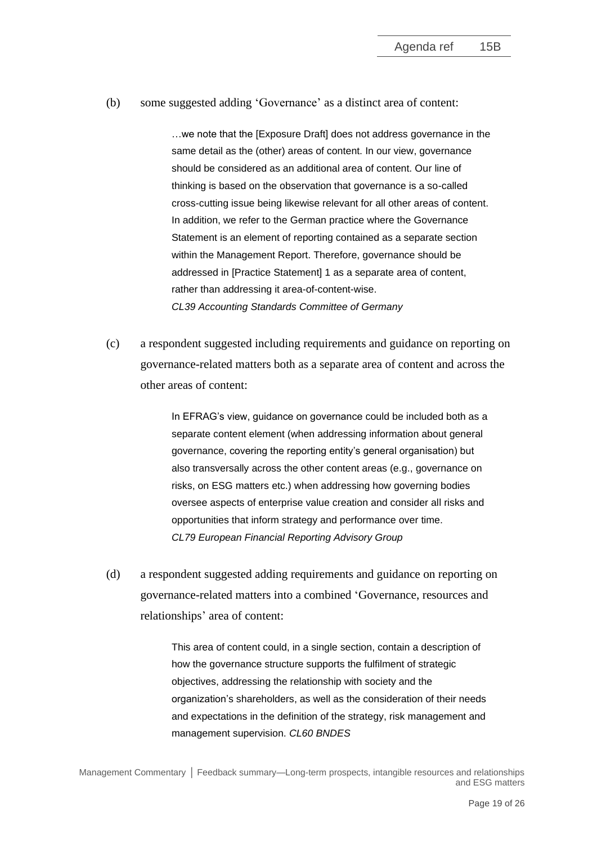(b) some suggested adding 'Governance' as a distinct area of content:

…we note that the [Exposure Draft] does not address governance in the same detail as the (other) areas of content. In our view, governance should be considered as an additional area of content. Our line of thinking is based on the observation that governance is a so-called cross-cutting issue being likewise relevant for all other areas of content. In addition, we refer to the German practice where the Governance Statement is an element of reporting contained as a separate section within the Management Report. Therefore, governance should be addressed in [Practice Statement] 1 as a separate area of content, rather than addressing it area-of-content-wise. *CL39 Accounting Standards Committee of Germany*

(c) a respondent suggested including requirements and guidance on reporting on governance-related matters both as a separate area of content and across the other areas of content:

> In EFRAG's view, guidance on governance could be included both as a separate content element (when addressing information about general governance, covering the reporting entity's general organisation) but also transversally across the other content areas (e.g., governance on risks, on ESG matters etc.) when addressing how governing bodies oversee aspects of enterprise value creation and consider all risks and opportunities that inform strategy and performance over time. *CL79 European Financial Reporting Advisory Group*

(d) a respondent suggested adding requirements and guidance on reporting on governance-related matters into a combined 'Governance, resources and relationships' area of content:

> This area of content could, in a single section, contain a description of how the governance structure supports the fulfilment of strategic objectives, addressing the relationship with society and the organization's shareholders, as well as the consideration of their needs and expectations in the definition of the strategy, risk management and management supervision. *CL60 BNDES*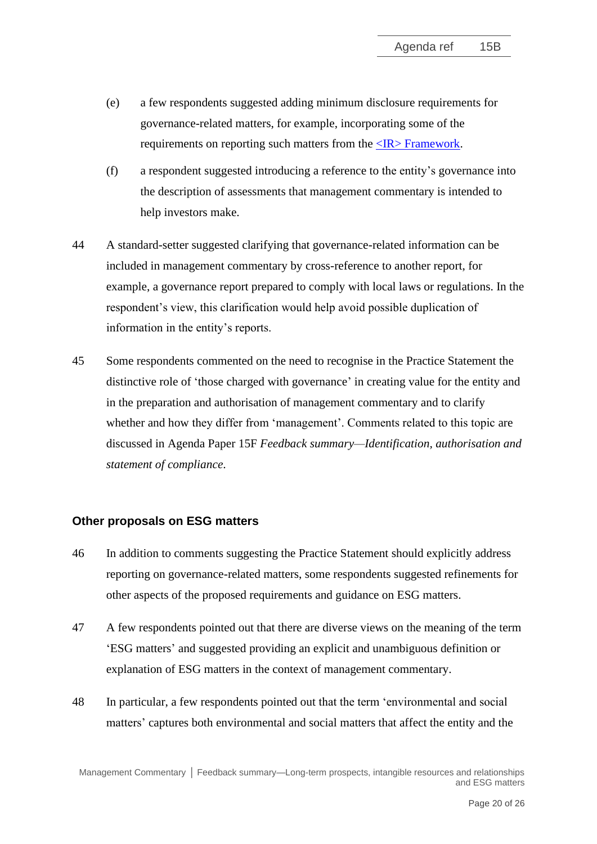- (e) a few respondents suggested adding minimum disclosure requirements for governance-related matters, for example, incorporating some of the requirements on reporting such matters from the  $\langle IR \rangle$  Framework.
- (f) a respondent suggested introducing a reference to the entity's governance into the description of assessments that management commentary is intended to help investors make.
- 44 A standard-setter suggested clarifying that governance-related information can be included in management commentary by cross-reference to another report, for example, a governance report prepared to comply with local laws or regulations. In the respondent's view, this clarification would help avoid possible duplication of information in the entity's reports.
- <span id="page-19-0"></span>45 Some respondents commented on the need to recognise in the Practice Statement the distinctive role of 'those charged with governance' in creating value for the entity and in the preparation and authorisation of management commentary and to clarify whether and how they differ from 'management'. Comments related to this topic are discussed in Agenda Paper 15F *Feedback summary—Identification, authorisation and statement of compliance*.

## **Other proposals on ESG matters**

- <span id="page-19-1"></span>46 In addition to comments suggesting the Practice Statement should explicitly address reporting on governance-related matters, some respondents suggested refinements for other aspects of the proposed requirements and guidance on ESG matters.
- 47 A few respondents pointed out that there are diverse views on the meaning of the term 'ESG matters' and suggested providing an explicit and unambiguous definition or explanation of ESG matters in the context of management commentary.
- 48 In particular, a few respondents pointed out that the term 'environmental and social matters' captures both environmental and social matters that affect the entity and the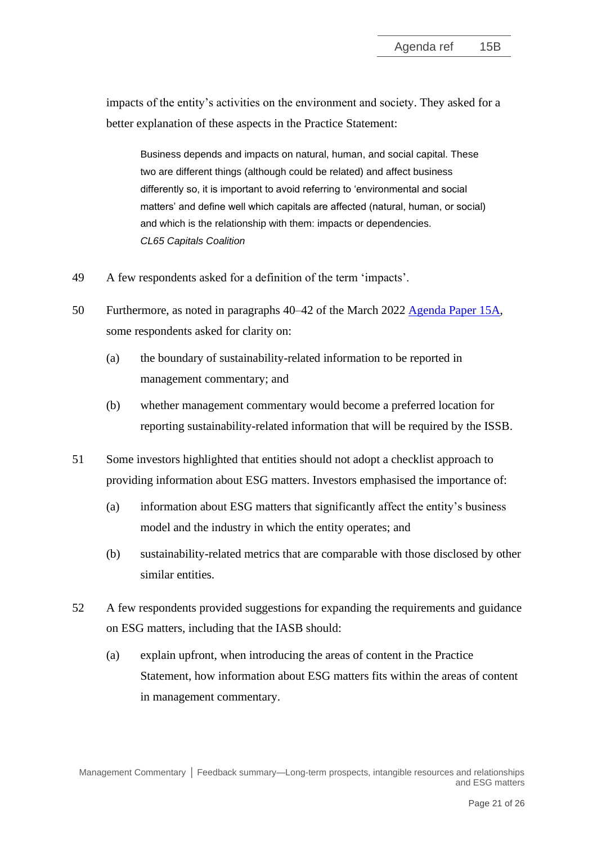impacts of the entity's activities on the environment and society. They asked for a better explanation of these aspects in the Practice Statement:

Business depends and impacts on natural, human, and social capital. These two are different things (although could be related) and affect business differently so, it is important to avoid referring to 'environmental and social matters' and define well which capitals are affected (natural, human, or social) and which is the relationship with them: impacts or dependencies. *CL65 Capitals Coalition*

- 49 A few respondents asked for a definition of the term 'impacts'.
- 50 Furthermore, as noted in paragraphs 40–42 of the March 2022 [Agenda Paper 15A,](https://www.ifrs.org/content/dam/ifrs/meetings/2022/march/iasb/ap15a-feedback-summary-project-direction.pdf) some respondents asked for clarity on:
	- (a) the boundary of sustainability-related information to be reported in management commentary; and
	- (b) whether management commentary would become a preferred location for reporting sustainability-related information that will be required by the ISSB.
- 51 Some investors highlighted that entities should not adopt a checklist approach to providing information about ESG matters. Investors emphasised the importance of:
	- (a) information about ESG matters that significantly affect the entity's business model and the industry in which the entity operates; and
	- (b) sustainability-related metrics that are comparable with those disclosed by other similar entities.
- <span id="page-20-0"></span>52 A few respondents provided suggestions for expanding the requirements and guidance on ESG matters, including that the IASB should:
	- (a) explain upfront, when introducing the areas of content in the Practice Statement, how information about ESG matters fits within the areas of content in management commentary.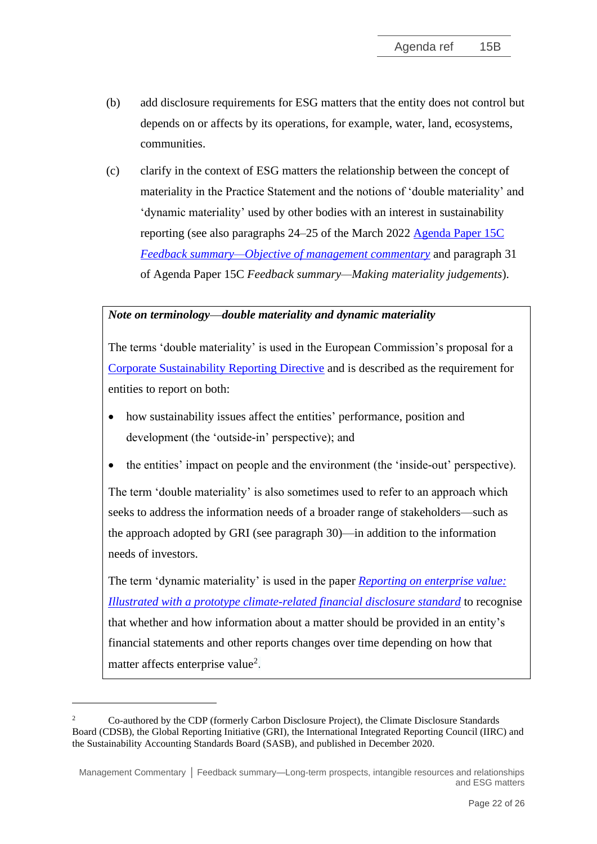- (b) add disclosure requirements for ESG matters that the entity does not control but depends on or affects by its operations, for example, water, land, ecosystems, communities.
- (c) clarify in the context of ESG matters the relationship between the concept of materiality in the Practice Statement and the notions of 'double materiality' and 'dynamic materiality' used by other bodies with an interest in sustainability reporting (see also paragraphs 24–25 of the March 2022 [Agenda Paper 15C](https://www.ifrs.org/content/dam/ifrs/meetings/2022/march/iasb/ap15c-objective-of-management-commentary.pdf)  *[Feedback summary—Objective of management commentary](https://www.ifrs.org/content/dam/ifrs/meetings/2022/march/iasb/ap15c-objective-of-management-commentary.pdf)* and paragraph 31 of Agenda Paper 15C *Feedback summary—Making materiality judgements*).

## *Note on terminology—double materiality and dynamic materiality*

The terms 'double materiality' is used in the European Commission's proposal for a [Corporate Sustainability Reporting Directive](https://eur-lex.europa.eu/legal-content/EN/TXT/HTML/?uri=CELEX:52021PC0189&from=EN) and is described as the requirement for entities to report on both:

- how sustainability issues affect the entities' performance, position and development (the 'outside-in' perspective); and
- the entities' impact on people and the environment (the 'inside-out' perspective).

The term 'double materiality' is also sometimes used to refer to an approach which seeks to address the information needs of a broader range of stakeholders—such as the approach adopted by GRI (see paragraph 30)—in addition to the information needs of investors.

The term 'dynamic materiality' is used in the paper *[Reporting on enterprise value:](https://29kjwb3armds2g3gi4lq2sx1-wpengine.netdna-ssl.com/wp-content/uploads/Reporting-on-enterprise-value_climate-prototype_Dec20.pdf)  [Illustrated with a prototype climate-related financial disclosure standard](https://29kjwb3armds2g3gi4lq2sx1-wpengine.netdna-ssl.com/wp-content/uploads/Reporting-on-enterprise-value_climate-prototype_Dec20.pdf)* to recognise that whether and how information about a matter should be provided in an entity's financial statements and other reports changes over time depending on how that matter affects enterprise value<sup>2</sup>.

<sup>2</sup> Co-authored by the CDP (formerly Carbon Disclosure Project), the Climate Disclosure Standards Board (CDSB), the Global Reporting Initiative (GRI), the International Integrated Reporting Council (IIRC) and the Sustainability Accounting Standards Board (SASB), and published in December 2020.

Management Commentary **│** Feedback summary—Long-term prospects, intangible resources and relationships and ESG matters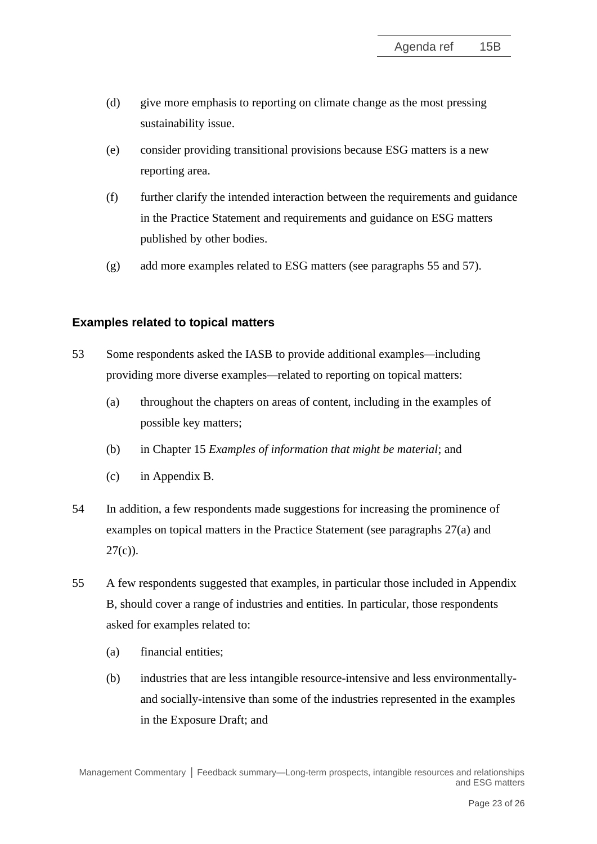- (d) give more emphasis to reporting on climate change as the most pressing sustainability issue.
- (e) consider providing transitional provisions because ESG matters is a new reporting area.
- (f) further clarify the intended interaction between the requirements and guidance in the Practice Statement and requirements and guidance on ESG matters published by other bodies.
- (g) add more examples related to ESG matters (see paragraphs [55](#page-22-1) and [57\)](#page-23-0).

## **Examples related to topical matters**

- <span id="page-22-0"></span>53 Some respondents asked the IASB to provide additional examples*—*including providing more diverse examples*—*related to reporting on topical matters:
	- (a) throughout the chapters on areas of content, including in the examples of possible key matters;
	- (b) in Chapter 15 *Examples of information that might be material*; and
	- (c) in Appendix B.
- 54 In addition, a few respondents made suggestions for increasing the prominence of examples on topical matters in the Practice Statement (see paragraphs [27\(](#page-9-0)a) and  $27(c)$  $27(c)$ ).
- <span id="page-22-1"></span>55 A few respondents suggested that examples, in particular those included in Appendix B, should cover a range of industries and entities. In particular, those respondents asked for examples related to:
	- (a) financial entities;
	- (b) industries that are less intangible resource-intensive and less environmentallyand socially-intensive than some of the industries represented in the examples in the Exposure Draft; and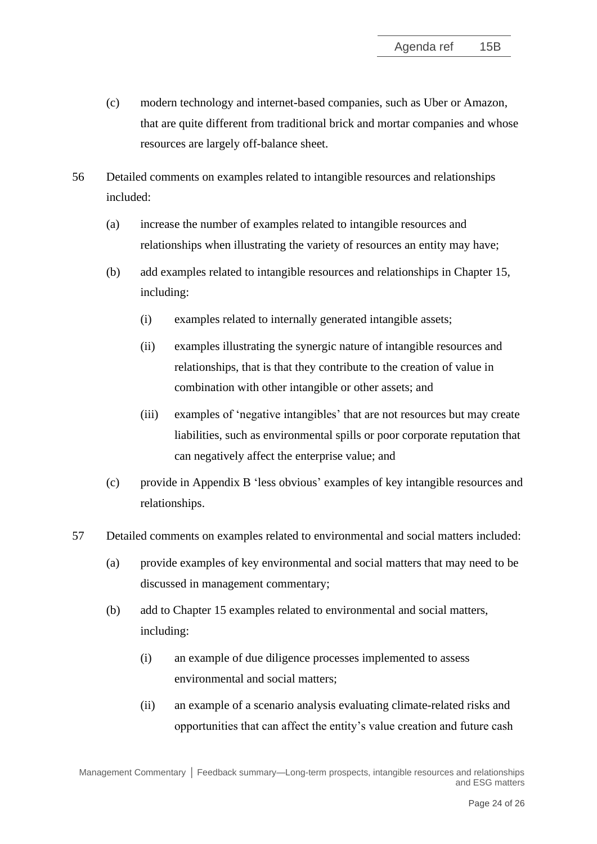- (c) modern technology and internet-based companies, such as Uber or Amazon, that are quite different from traditional brick and mortar companies and whose resources are largely off-balance sheet.
- <span id="page-23-1"></span>56 Detailed comments on examples related to intangible resources and relationships included:
	- (a) increase the number of examples related to intangible resources and relationships when illustrating the variety of resources an entity may have;
	- (b) add examples related to intangible resources and relationships in Chapter 15, including:
		- (i) examples related to internally generated intangible assets;
		- (ii) examples illustrating the synergic nature of intangible resources and relationships, that is that they contribute to the creation of value in combination with other intangible or other assets; and
		- (iii) examples of 'negative intangibles' that are not resources but may create liabilities, such as environmental spills or poor corporate reputation that can negatively affect the enterprise value; and
	- (c) provide in Appendix B 'less obvious' examples of key intangible resources and relationships.
- <span id="page-23-0"></span>57 Detailed comments on examples related to environmental and social matters included:
	- (a) provide examples of key environmental and social matters that may need to be discussed in management commentary;
	- (b) add to Chapter 15 examples related to environmental and social matters, including:
		- (i) an example of due diligence processes implemented to assess environmental and social matters;
		- (ii) an example of a scenario analysis evaluating climate-related risks and opportunities that can affect the entity's value creation and future cash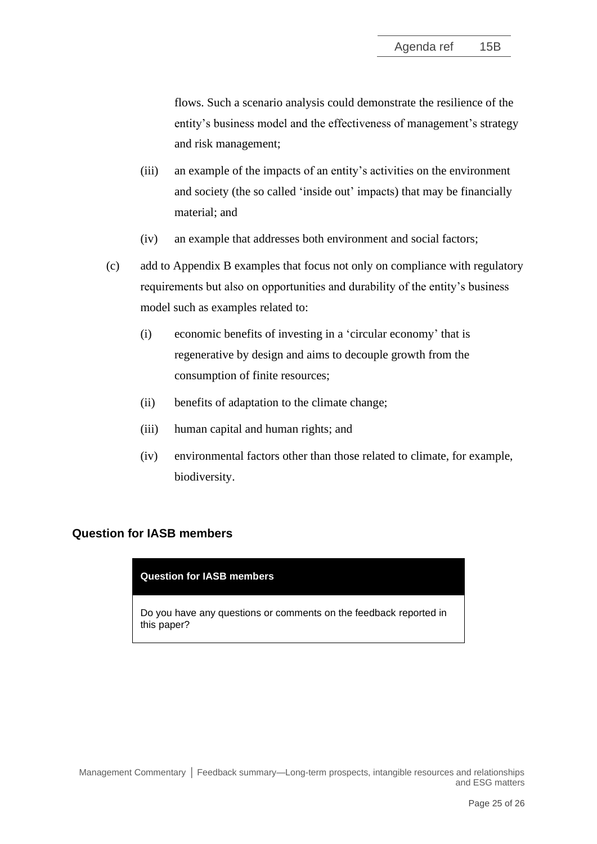flows. Such a scenario analysis could demonstrate the resilience of the entity's business model and the effectiveness of management's strategy and risk management;

- (iii) an example of the impacts of an entity's activities on the environment and society (the so called 'inside out' impacts) that may be financially material; and
- (iv) an example that addresses both environment and social factors;
- (c) add to Appendix B examples that focus not only on compliance with regulatory requirements but also on opportunities and durability of the entity's business model such as examples related to:
	- (i) economic benefits of investing in a 'circular economy' that is regenerative by design and aims to decouple growth from the consumption of finite resources;
	- (ii) benefits of adaptation to the climate change;
	- (iii) human capital and human rights; and
	- (iv) environmental factors other than those related to climate, for example, biodiversity.

## **Question for IASB members**

#### **Question for IASB members**

Do you have any questions or comments on the feedback reported in this paper?